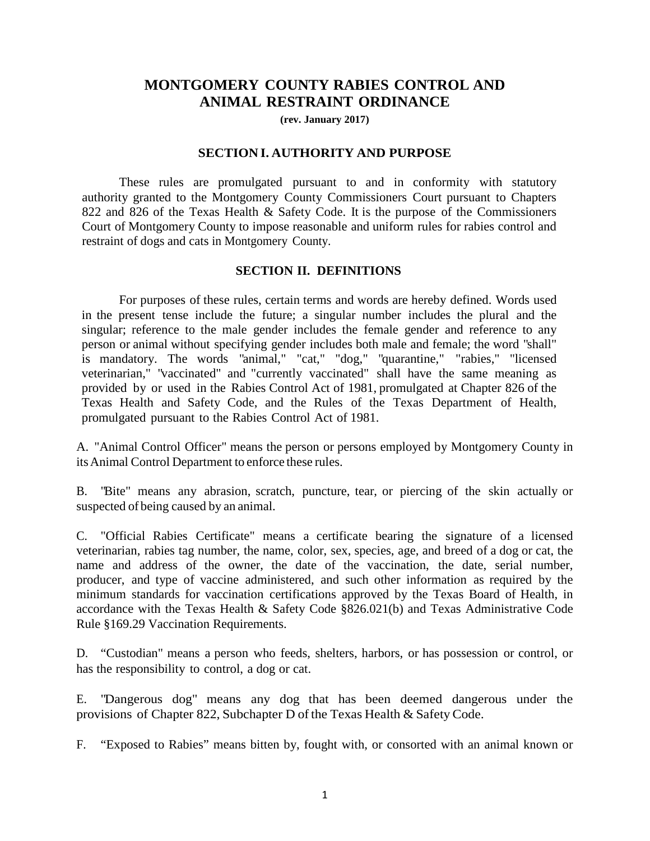# **MONTGOMERY COUNTY RABIES CONTROL AND ANIMAL RESTRAINT ORDINANCE**

**(rev. January 2017)**

#### **SECTION I. AUTHORITY AND PURPOSE**

These rules are promulgated pursuant to and in conformity with statutory authority granted to the Montgomery County Commissioners Court pursuant to Chapters 822 and 826 of the Texas Health & Safety Code. It is the purpose of the Commissioners Court of Montgomery County to impose reasonable and uniform rules for rabies control and restraint of dogs and cats in Montgomery County.

### **SECTION II. DEFINITIONS**

For purposes of these rules, certain terms and words are hereby defined. Words used in the present tense include the future; a singular number includes the plural and the singular; reference to the male gender includes the female gender and reference to any person or animal without specifying gender includes both male and female; the word "shall" is mandatory. The words "animal," "cat," "dog," "quarantine," "rabies," "licensed veterinarian," "vaccinated" and "currently vaccinated" shall have the same meaning as provided by or used in the Rabies Control Act of 1981, promulgated at Chapter 826 of the Texas Health and Safety Code, and the Rules of the Texas Department of Health, promulgated pursuant to the Rabies Control Act of 1981.

A. "Animal Control Officer" means the person or persons employed by Montgomery County in itsAnimal Control Department to enforce these rules.

B. "Bite" means any abrasion, scratch, puncture, tear, or piercing of the skin actually or suspected of being caused by an animal.

C. "Official Rabies Certificate" means a certificate bearing the signature of a licensed veterinarian, rabies tag number, the name, color, sex, species, age, and breed of a dog or cat, the name and address of the owner, the date of the vaccination, the date, serial number, producer, and type of vaccine administered, and such other information as required by the minimum standards for vaccination certifications approved by the Texas Board of Health, in accordance with the Texas Health & Safety Code §826.021(b) and Texas Administrative Code Rule §169.29 Vaccination Requirements.

D. "Custodian" means a person who feeds, shelters, harbors, or has possession or control, or has the responsibility to control, a dog or cat.

E. "Dangerous dog" means any dog that has been deemed dangerous under the provisions of Chapter 822, Subchapter D ofthe Texas Health & Safety Code.

F. "Exposed to Rabies" means bitten by, fought with, or consorted with an animal known or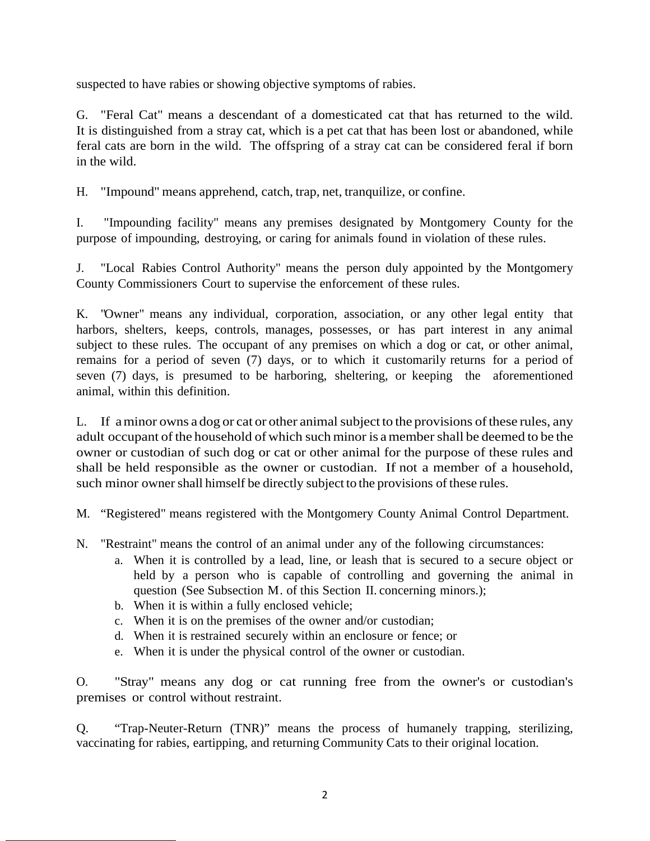suspected to have rabies or showing objective symptoms of rabies.

G. "Feral Cat" means a descendant of a domesticated cat that has returned to the wild. It is distinguished from a stray cat, which is a pet cat that has been lost or abandoned, while feral cats are born in the wild. The offspring of a stray cat can be considered feral if born in the wild.

H. "Impound" means apprehend, catch, trap, net, tranquilize, or confine.

I. "Impounding facility" means any premises designated by Montgomery County for the purpose of impounding, destroying, or caring for animals found in violation of these rules.

J. "Local Rabies Control Authority" means the person duly appointed by the Montgomery County Commissioners Court to supervise the enforcement of these rules.

K. "Owner" means any individual, corporation, association, or any other legal entity that harbors, shelters, keeps, controls, manages, possesses, or has part interest in any animal subject to these rules. The occupant of any premises on which a dog or cat, or other animal, remains for a period of seven (7) days, or to which it customarily returns for a period of seven (7) days, is presumed to be harboring, sheltering, or keeping the aforementioned animal, within this definition.

L. If a minor owns a dog or cat or other animal subject to the provisions of these rules, any adult occupant of the household of which suchminor is amembershall be deemed to be the owner or custodian of such dog or cat or other animal for the purpose of these rules and shall be held responsible as the owner or custodian. If not a member of a household, such minor owner shall himself be directly subject to the provisions of these rules.

M. "Registered" means registered with the Montgomery County Animal Control Department.

- N. "Restraint" means the control of an animal under any of the following circumstances:
	- a. When it is controlled by a lead, line, or leash that is secured to a secure object or held by a person who is capable of controlling and governing the animal in question (See Subsection M. of this Section II. concerning minors.);
	- b. When it is within a fully enclosed vehicle;
	- c. When it is on the premises of the owner and/or custodian;
	- d. When it is restrained securely within an enclosure or fence; or
	- e. When it is under the physical control of the owner or custodian.

O. "Stray" means any dog or cat running free from the owner's or custodian's premises or control without restraint.

Q. "Trap-Neuter-Return (TNR)" means the process of humanely trapping, sterilizing, vaccinating for rabies, eartipping, and returning Community Cats to their original location.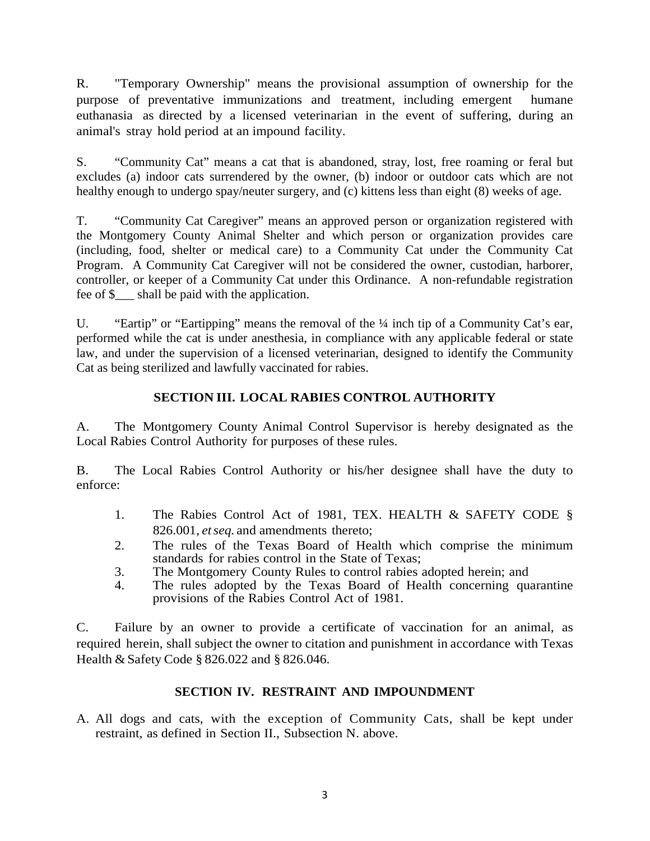R. "Temporary Ownership" means the provisional assumption of ownership for the purpose of preventative immunizations and treatment, including emergent humane euthanasia as directed by a licensed veterinarian in the event of suffering, during an animal's stray hold period at an impound facility.

S. "Community Cat" means a cat that is abandoned, stray, lost, free roaming or feral but excludes (a) indoor cats surrendered by the owner, (b) indoor or outdoor cats which are not healthy enough to undergo spay/neuter surgery, and (c) kittens less than eight (8) weeks of age.

T. "Community Cat Caregiver" means an approved person or organization registered with the Montgomery County Animal Shelter and which person or organization provides care (including, food, shelter or medical care) to a Community Cat under the Community Cat Program. A Community Cat Caregiver will not be considered the owner, custodian, harborer, controller, or keeper of a Community Cat under this Ordinance. A non-refundable registration fee of \$\_\_\_ shall be paid with the application.

U. "Eartip" or "Eartipping" means the removal of the  $\frac{1}{4}$  inch tip of a Community Cat's ear, performed while the cat is under anesthesia, in compliance with any applicable federal or state law, and under the supervision of a licensed veterinarian, designed to identify the Community Cat as being sterilized and lawfully vaccinated for rabies.

# **SECTION III. LOCAL RABIES CONTROL AUTHORITY**

A. The Montgomery County Animal Control Supervisor is hereby designated as the Local Rabies Control Authority for purposes of these rules.

B. The Local Rabies Control Authority or his/her designee shall have the duty to enforce:

- 1. The Rabies Control Act of 1981, TEX. HEALTH & SAFETY CODE § 826.001, *et seq.* and amendments thereto;
- 2. The rules of the Texas Board of Health which comprise the minimum standards for rabies control in the State of Texas;
- 3. The Montgomery County Rules to control rabies adopted herein; and 4. The rules adopted by the Texas Board of Health concerning qua
- The rules adopted by the Texas Board of Health concerning quarantine provisions of the Rabies Control Act of 1981.

C. Failure by an owner to provide a certificate of vaccination for an animal, as required herein, shall subject the owner to citation and punishment in accordance with Texas Health & Safety Code § 826.022 and § 826.046.

## **SECTION IV. RESTRAINT AND IMPOUNDMENT**

A. All dogs and cats, with the exception of Community Cats, shall be kept under restraint, as defined in Section II., Subsection N. above.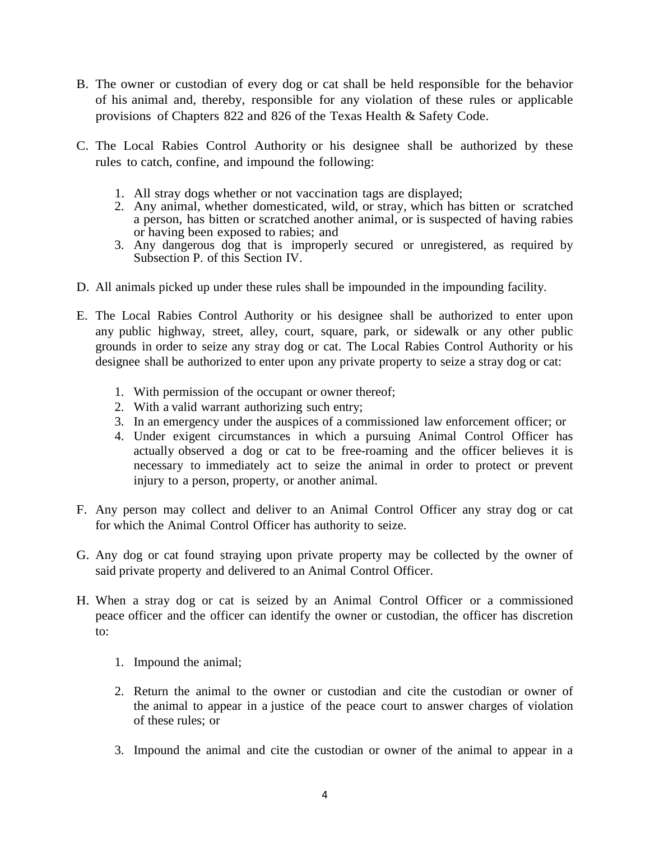- B. The owner or custodian of every dog or cat shall be held responsible for the behavior of his animal and, thereby, responsible for any violation of these rules or applicable provisions of Chapters 822 and 826 of the Texas Health & Safety Code.
- C. The Local Rabies Control Authority or his designee shall be authorized by these rules to catch, confine, and impound the following:
	- 1. All stray dogs whether or not vaccination tags are displayed;
	- 2. Any animal, whether domesticated, wild, or stray, which has bitten or scratched a person, has bitten or scratched another animal, or is suspected of having rabies or having been exposed to rabies; and
	- 3. Any dangerous dog that is improperly secured or unregistered, as required by Subsection P. of this Section IV.
- D. All animals picked up under these rules shall be impounded in the impounding facility.
- E. The Local Rabies Control Authority or his designee shall be authorized to enter upon any public highway, street, alley, court, square, park, or sidewalk or any other public grounds in order to seize any stray dog or cat. The Local Rabies Control Authority or his designee shall be authorized to enter upon any private property to seize a stray dog or cat:
	- 1. With permission of the occupant or owner thereof;
	- 2. With a valid warrant authorizing such entry;
	- 3. In an emergency under the auspices of a commissioned law enforcement officer; or
	- 4. Under exigent circumstances in which a pursuing Animal Control Officer has actually observed a dog or cat to be free-roaming and the officer believes it is necessary to immediately act to seize the animal in order to protect or prevent injury to a person, property, or another animal.
- F. Any person may collect and deliver to an Animal Control Officer any stray dog or cat for which the Animal Control Officer has authority to seize.
- G. Any dog or cat found straying upon private property may be collected by the owner of said private property and delivered to an Animal Control Officer.
- H. When a stray dog or cat is seized by an Animal Control Officer or a commissioned peace officer and the officer can identify the owner or custodian, the officer has discretion to:
	- 1. Impound the animal;
	- 2. Return the animal to the owner or custodian and cite the custodian or owner of the animal to appear in a justice of the peace court to answer charges of violation of these rules; or
	- 3. Impound the animal and cite the custodian or owner of the animal to appear in a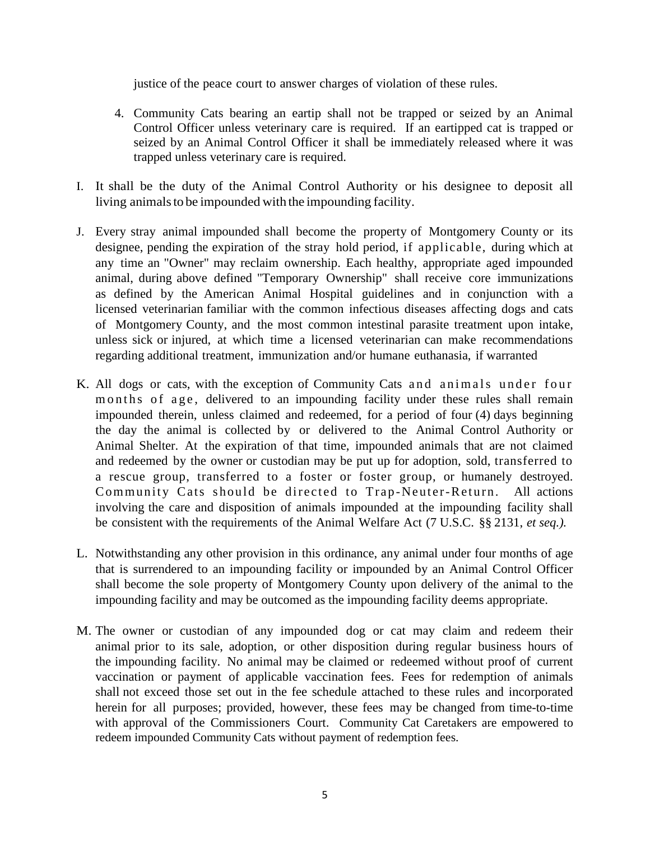justice of the peace court to answer charges of violation of these rules.

- 4. Community Cats bearing an eartip shall not be trapped or seized by an Animal Control Officer unless veterinary care is required. If an eartipped cat is trapped or seized by an Animal Control Officer it shall be immediately released where it was trapped unless veterinary care is required.
- I. It shall be the duty of the Animal Control Authority or his designee to deposit all living animals to be impounded with the impounding facility.
- J. Every stray animal impounded shall become the property of Montgomery County or its designee, pending the expiration of the stray hold period, if applicable, during which at any time an "Owner" may reclaim ownership. Each healthy, appropriate aged impounded animal, during above defined "Temporary Ownership" shall receive core immunizations as defined by the American Animal Hospital guidelines and in conjunction with a licensed veterinarian familiar with the common infectious diseases affecting dogs and cats of Montgomery County, and the most common intestinal parasite treatment upon intake, unless sick or injured, at which time a licensed veterinarian can make recommendations regarding additional treatment, immunization and/or humane euthanasia, if warranted
- K. All dogs or cats, with the exception of Community Cats and animals under four months of age, delivered to an impounding facility under these rules shall remain impounded therein, unless claimed and redeemed, for a period of four (4) days beginning the day the animal is collected by or delivered to the Animal Control Authority or Animal Shelter. At the expiration of that time, impounded animals that are not claimed and redeemed by the owner or custodian may be put up for adoption, sold, transferred to a rescue group, transferred to a foster or foster group, or humanely destroyed. Community Cats should be directed to Trap -Neuter-Return. All actions involving the care and disposition of animals impounded at the impounding facility shall be consistent with the requirements of the Animal Welfare Act (7 U.S.C. §§ 2131, *et seq.).*
- L. Notwithstanding any other provision in this ordinance, any animal under four months of age that is surrendered to an impounding facility or impounded by an Animal Control Officer shall become the sole property of Montgomery County upon delivery of the animal to the impounding facility and may be outcomed as the impounding facility deems appropriate.
- M. The owner or custodian of any impounded dog or cat may claim and redeem their animal prior to its sale, adoption, or other disposition during regular business hours of the impounding facility. No animal may be claimed or redeemed without proof of current vaccination or payment of applicable vaccination fees. Fees for redemption of animals shall not exceed those set out in the fee schedule attached to these rules and incorporated herein for all purposes; provided, however, these fees may be changed from time-to-time with approval of the Commissioners Court. Community Cat Caretakers are empowered to redeem impounded Community Cats without payment of redemption fees.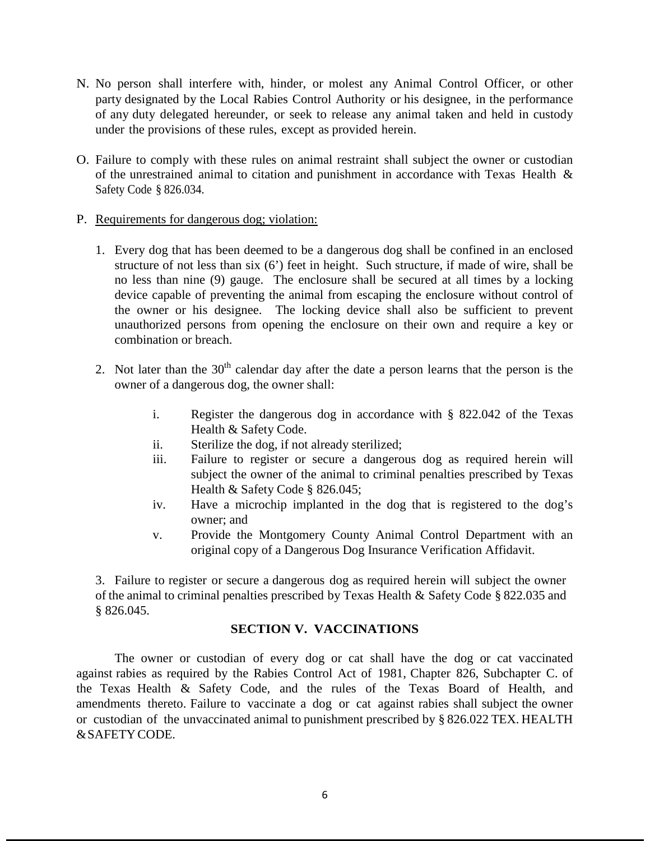- N. No person shall interfere with, hinder, or molest any Animal Control Officer, or other party designated by the Local Rabies Control Authority or his designee, in the performance of any duty delegated hereunder, or seek to release any animal taken and held in custody under the provisions of these rules, except as provided herein.
- O. Failure to comply with these rules on animal restraint shall subject the owner or custodian of the unrestrained animal to citation and punishment in accordance with Texas Health & Safety Code § 826.034.
- P. Requirements for dangerous dog; violation:
	- 1. Every dog that has been deemed to be a dangerous dog shall be confined in an enclosed structure of not less than six (6') feet in height. Such structure, if made of wire, shall be no less than nine (9) gauge. The enclosure shall be secured at all times by a locking device capable of preventing the animal from escaping the enclosure without control of the owner or his designee. The locking device shall also be sufficient to prevent unauthorized persons from opening the enclosure on their own and require a key or combination or breach.
	- 2. Not later than the  $30<sup>th</sup>$  calendar day after the date a person learns that the person is the owner of a dangerous dog, the owner shall:
		- i. Register the dangerous dog in accordance with § 822.042 of the Texas Health & Safety Code.
		- ii. Sterilize the dog, if not already sterilized;
		- iii. Failure to register or secure a dangerous dog as required herein will subject the owner of the animal to criminal penalties prescribed by Texas Health & Safety Code § 826.045;
		- iv. Have a microchip implanted in the dog that is registered to the dog's owner; and
		- v. Provide the Montgomery County Animal Control Department with an original copy of a Dangerous Dog Insurance Verification Affidavit.

3. Failure to register or secure a dangerous dog as required herein will subject the owner of the animal to criminal penalties prescribed by Texas Health & Safety Code § 822.035 and § 826.045.

## **SECTION V. VACCINATIONS**

The owner or custodian of every dog or cat shall have the dog or cat vaccinated against rabies as required by the Rabies Control Act of 1981, Chapter 826, Subchapter C. of the Texas Health & Safety Code, and the rules of the Texas Board of Health, and amendments thereto. Failure to vaccinate a dog or cat against rabies shall subject the owner or custodian of the unvaccinated animal to punishment prescribed by § 826.022 TEX. HEALTH &SAFETY CODE.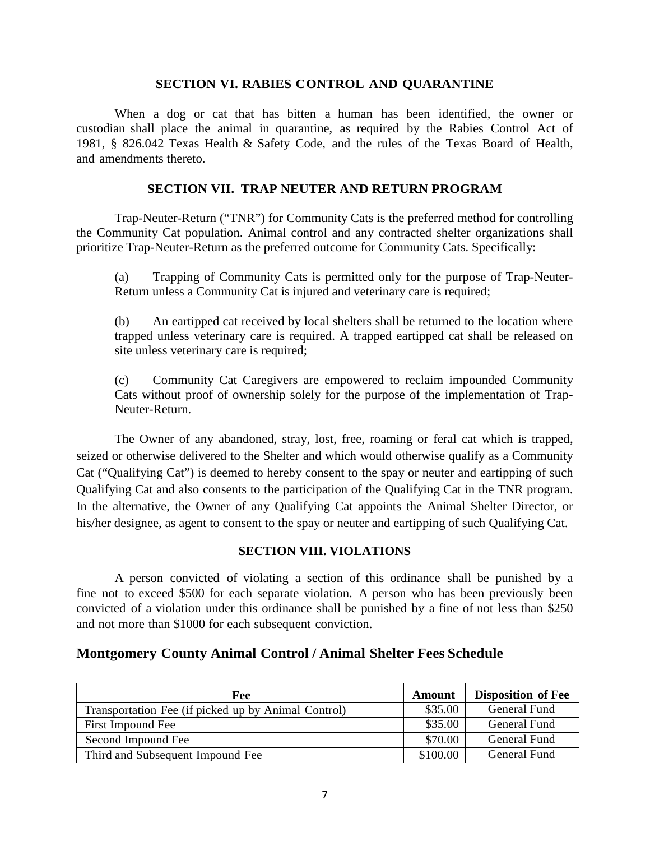#### **SECTION VI. RABIES CONTROL AND QUARANTINE**

When a dog or cat that has bitten a human has been identified, the owner or custodian shall place the animal in quarantine, as required by the Rabies Control Act of 1981, § 826.042 Texas Health & Safety Code, and the rules of the Texas Board of Health, and amendments thereto.

#### **SECTION VII. TRAP NEUTER AND RETURN PROGRAM**

Trap-Neuter-Return ("TNR") for Community Cats is the preferred method for controlling the Community Cat population. Animal control and any contracted shelter organizations shall prioritize Trap-Neuter-Return as the preferred outcome for Community Cats. Specifically:

(a) Trapping of Community Cats is permitted only for the purpose of Trap-Neuter-Return unless a Community Cat is injured and veterinary care is required;

(b) An eartipped cat received by local shelters shall be returned to the location where trapped unless veterinary care is required. A trapped eartipped cat shall be released on site unless veterinary care is required;

(c) Community Cat Caregivers are empowered to reclaim impounded Community Cats without proof of ownership solely for the purpose of the implementation of Trap-Neuter-Return.

The Owner of any abandoned, stray, lost, free, roaming or feral cat which is trapped, seized or otherwise delivered to the Shelter and which would otherwise qualify as a Community Cat ("Qualifying Cat") is deemed to hereby consent to the spay or neuter and eartipping of such Qualifying Cat and also consents to the participation of the Qualifying Cat in the TNR program. In the alternative, the Owner of any Qualifying Cat appoints the Animal Shelter Director, or his/her designee, as agent to consent to the spay or neuter and eartipping of such Qualifying Cat.

### **SECTION VIII. VIOLATIONS**

A person convicted of violating a section of this ordinance shall be punished by a fine not to exceed \$500 for each separate violation. A person who has been previously been convicted of a violation under this ordinance shall be punished by a fine of not less than \$250 and not more than \$1000 for each subsequent conviction.

## **Montgomery County Animal Control / Animal Shelter Fees Schedule**

| Fee                                                 | Amount   | <b>Disposition of Fee</b> |
|-----------------------------------------------------|----------|---------------------------|
| Transportation Fee (if picked up by Animal Control) | \$35.00  | General Fund              |
| First Impound Fee                                   | \$35.00  | General Fund              |
| Second Impound Fee                                  | \$70.00  | General Fund              |
| Third and Subsequent Impound Fee                    | \$100.00 | General Fund              |